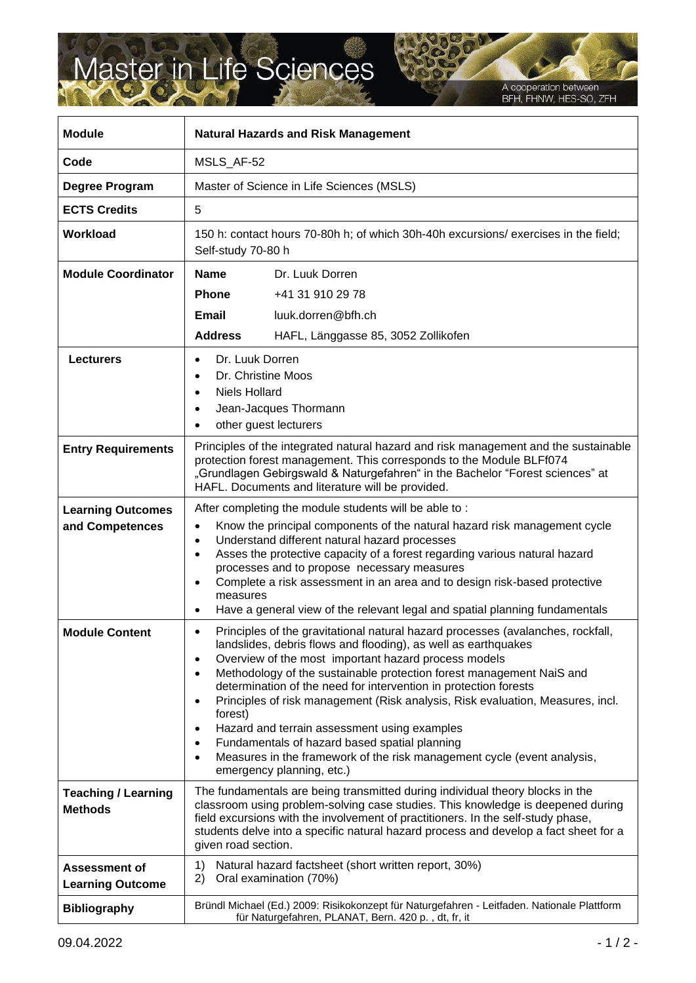## Master in Life Sciences

s

A cooperation between<br>BFH, FHNW, HES-SO, ZFH

| <b>Module</b>                                   | <b>Natural Hazards and Risk Management</b>                                                                                                                                                                                                                                                                                                                                                                                                                                                                                                                                                                                                                                                                                             |
|-------------------------------------------------|----------------------------------------------------------------------------------------------------------------------------------------------------------------------------------------------------------------------------------------------------------------------------------------------------------------------------------------------------------------------------------------------------------------------------------------------------------------------------------------------------------------------------------------------------------------------------------------------------------------------------------------------------------------------------------------------------------------------------------------|
| Code                                            | MSLS_AF-52                                                                                                                                                                                                                                                                                                                                                                                                                                                                                                                                                                                                                                                                                                                             |
| Degree Program                                  | Master of Science in Life Sciences (MSLS)                                                                                                                                                                                                                                                                                                                                                                                                                                                                                                                                                                                                                                                                                              |
| <b>ECTS Credits</b>                             | 5                                                                                                                                                                                                                                                                                                                                                                                                                                                                                                                                                                                                                                                                                                                                      |
| <b>Workload</b>                                 | 150 h: contact hours 70-80h h; of which 30h-40h excursions/ exercises in the field;<br>Self-study 70-80 h                                                                                                                                                                                                                                                                                                                                                                                                                                                                                                                                                                                                                              |
| <b>Module Coordinator</b>                       | <b>Name</b><br>Dr. Luuk Dorren<br><b>Phone</b><br>+41 31 910 29 78<br>Email<br>luuk.dorren@bfh.ch<br><b>Address</b><br>HAFL, Länggasse 85, 3052 Zollikofen                                                                                                                                                                                                                                                                                                                                                                                                                                                                                                                                                                             |
| <b>Lecturers</b>                                | Dr. Luuk Dorren<br>Dr. Christine Moos<br>$\bullet$<br><b>Niels Hollard</b><br>$\bullet$<br>Jean-Jacques Thormann<br>other guest lecturers<br>$\bullet$                                                                                                                                                                                                                                                                                                                                                                                                                                                                                                                                                                                 |
| <b>Entry Requirements</b>                       | Principles of the integrated natural hazard and risk management and the sustainable<br>protection forest management. This corresponds to the Module BLFf074<br>"Grundlagen Gebirgswald & Naturgefahren" in the Bachelor "Forest sciences" at<br>HAFL. Documents and literature will be provided.                                                                                                                                                                                                                                                                                                                                                                                                                                       |
| <b>Learning Outcomes</b><br>and Competences     | After completing the module students will be able to:<br>Know the principal components of the natural hazard risk management cycle<br>$\bullet$<br>Understand different natural hazard processes<br>$\bullet$<br>Asses the protective capacity of a forest regarding various natural hazard<br>$\bullet$<br>processes and to propose necessary measures<br>Complete a risk assessment in an area and to design risk-based protective<br>$\bullet$<br>measures<br>Have a general view of the relevant legal and spatial planning fundamentals<br>$\bullet$                                                                                                                                                                              |
| <b>Module Content</b>                           | Principles of the gravitational natural hazard processes (avalanches, rockfall,<br>$\bullet$<br>landslides, debris flows and flooding), as well as earthquakes<br>Overview of the most important hazard process models<br>$\bullet$<br>Methodology of the sustainable protection forest management NaiS and<br>$\bullet$<br>determination of the need for intervention in protection forests<br>Principles of risk management (Risk analysis, Risk evaluation, Measures, incl.<br>$\bullet$<br>forest)<br>Hazard and terrain assessment using examples<br>٠<br>Fundamentals of hazard based spatial planning<br>٠<br>Measures in the framework of the risk management cycle (event analysis,<br>$\bullet$<br>emergency planning, etc.) |
| <b>Teaching / Learning</b><br><b>Methods</b>    | The fundamentals are being transmitted during individual theory blocks in the<br>classroom using problem-solving case studies. This knowledge is deepened during<br>field excursions with the involvement of practitioners. In the self-study phase,<br>students delve into a specific natural hazard process and develop a fact sheet for a<br>given road section.                                                                                                                                                                                                                                                                                                                                                                    |
| <b>Assessment of</b><br><b>Learning Outcome</b> | Natural hazard factsheet (short written report, 30%)<br>1)<br>2)<br>Oral examination (70%)                                                                                                                                                                                                                                                                                                                                                                                                                                                                                                                                                                                                                                             |
| <b>Bibliography</b>                             | Bründl Michael (Ed.) 2009: Risikokonzept für Naturgefahren - Leitfaden. Nationale Plattform<br>für Naturgefahren, PLANAT, Bern. 420 p., dt, fr, it                                                                                                                                                                                                                                                                                                                                                                                                                                                                                                                                                                                     |